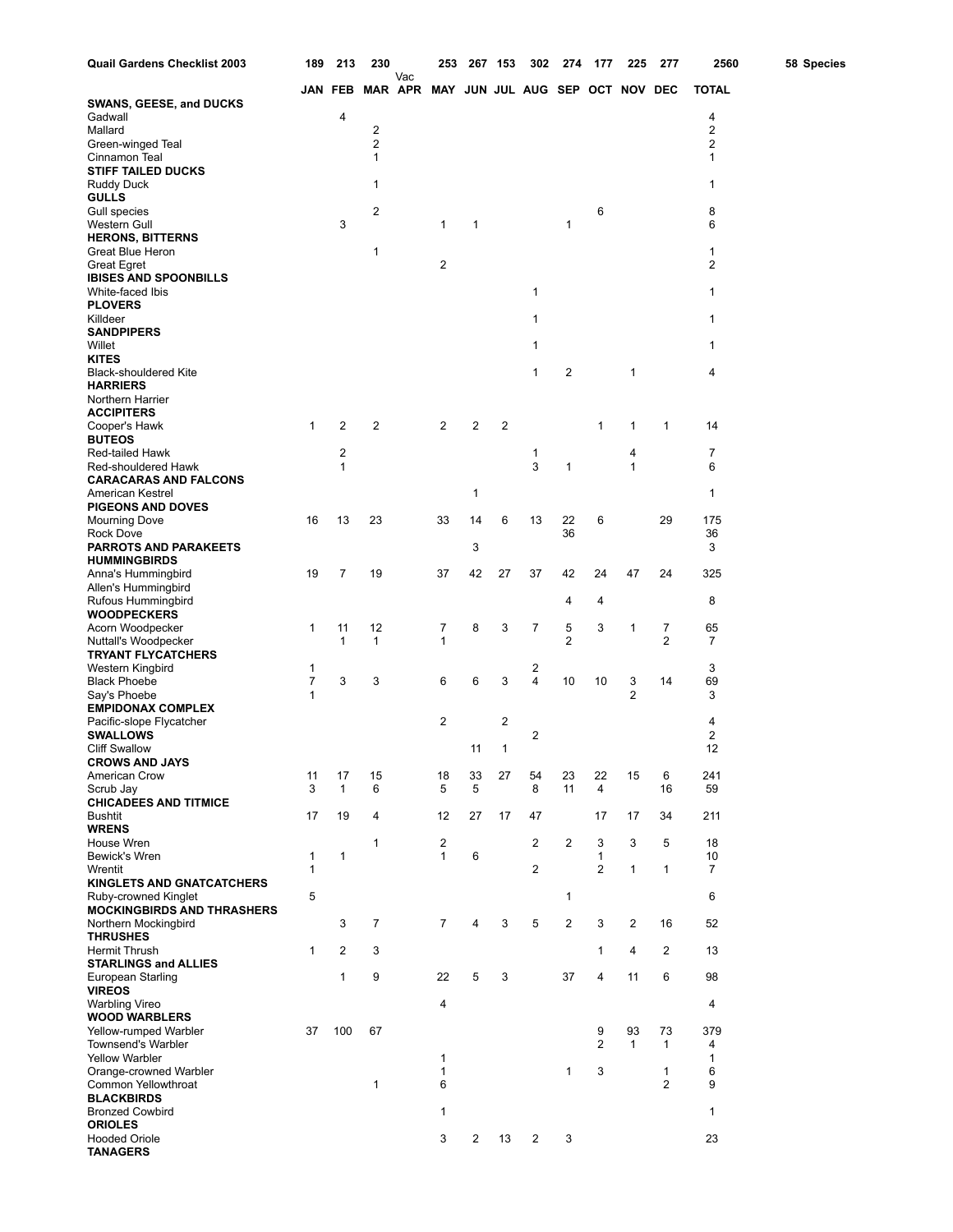| Quail Gardens Checklist 2003                              | 189          | 213            | 230                     |     |                                         | 253 267 153             |                | 302 | 274            | 177            | 225            | 277            | 2560                 | 58 Species |
|-----------------------------------------------------------|--------------|----------------|-------------------------|-----|-----------------------------------------|-------------------------|----------------|-----|----------------|----------------|----------------|----------------|----------------------|------------|
|                                                           |              | JAN FEB        |                         | Vac | MAR APR MAY JUN JUL AUG SEP OCT NOV DEC |                         |                |     |                |                |                |                | <b>TOTAL</b>         |            |
| <b>SWANS, GEESE, and DUCKS</b>                            |              |                |                         |     |                                         |                         |                |     |                |                |                |                |                      |            |
| Gadwall<br>Mallard                                        |              | 4              | 2                       |     |                                         |                         |                |     |                |                |                |                | 4<br>2               |            |
| Green-winged Teal                                         |              |                | $\overline{2}$          |     |                                         |                         |                |     |                |                |                |                | $\overline{2}$       |            |
| Cinnamon Teal                                             |              |                | 1                       |     |                                         |                         |                |     |                |                |                |                | 1                    |            |
| <b>STIFF TAILED DUCKS</b><br>Ruddy Duck                   |              |                | 1                       |     |                                         |                         |                |     |                |                |                |                | 1                    |            |
| <b>GULLS</b>                                              |              |                |                         |     |                                         |                         |                |     |                |                |                |                |                      |            |
| Gull species                                              |              |                | 2                       |     |                                         |                         |                |     |                | 6              |                |                | 8                    |            |
| Western Gull<br><b>HERONS, BITTERNS</b>                   |              | 3              |                         |     | $\mathbf{1}$                            | 1                       |                |     | 1              |                |                |                | 6                    |            |
| Great Blue Heron                                          |              |                | 1                       |     |                                         |                         |                |     |                |                |                |                | 1                    |            |
| <b>Great Egret</b>                                        |              |                |                         |     | $\overline{c}$                          |                         |                |     |                |                |                |                | 2                    |            |
| <b>IBISES AND SPOONBILLS</b><br>White-faced Ibis          |              |                |                         |     |                                         |                         |                | 1   |                |                |                |                | 1                    |            |
| <b>PLOVERS</b>                                            |              |                |                         |     |                                         |                         |                |     |                |                |                |                |                      |            |
| Killdeer                                                  |              |                |                         |     |                                         |                         |                | 1   |                |                |                |                | 1                    |            |
| <b>SANDPIPERS</b><br>Willet                               |              |                |                         |     |                                         |                         |                | 1   |                |                |                |                | 1                    |            |
| <b>KITES</b>                                              |              |                |                         |     |                                         |                         |                |     |                |                |                |                |                      |            |
| <b>Black-shouldered Kite</b>                              |              |                |                         |     |                                         |                         |                | 1   | 2              |                | 1              |                | 4                    |            |
| <b>HARRIERS</b><br>Northern Harrier                       |              |                |                         |     |                                         |                         |                |     |                |                |                |                |                      |            |
| <b>ACCIPITERS</b>                                         |              |                |                         |     |                                         |                         |                |     |                |                |                |                |                      |            |
| Cooper's Hawk                                             | $\mathbf{1}$ | 2              | $\overline{\mathbf{c}}$ |     | $\overline{2}$                          | $\overline{\mathbf{c}}$ | $\overline{c}$ |     |                | 1              | 1              | 1              | 14                   |            |
| <b>BUTEOS</b><br>Red-tailed Hawk                          |              | 2              |                         |     |                                         |                         |                | 1   |                |                | 4              |                | 7                    |            |
| Red-shouldered Hawk                                       |              | 1              |                         |     |                                         |                         |                | 3   | 1              |                | 1              |                | 6                    |            |
| <b>CARACARAS AND FALCONS</b>                              |              |                |                         |     |                                         |                         |                |     |                |                |                |                |                      |            |
| American Kestrel<br><b>PIGEONS AND DOVES</b>              |              |                |                         |     |                                         | 1                       |                |     |                |                |                |                | 1                    |            |
| Mourning Dove                                             | 16           | 13             | 23                      |     | 33                                      | 14                      | 6              | 13  | 22             | 6              |                | 29             | 175                  |            |
| Rock Dove                                                 |              |                |                         |     |                                         |                         |                |     | 36             |                |                |                | 36                   |            |
| <b>PARROTS AND PARAKEETS</b><br><b>HUMMINGBIRDS</b>       |              |                |                         |     |                                         | 3                       |                |     |                |                |                |                | 3                    |            |
| Anna's Hummingbird                                        | 19           | 7              | 19                      |     | 37                                      | 42                      | 27             | 37  | 42             | 24             | 47             | 24             | 325                  |            |
| Allen's Hummingbird                                       |              |                |                         |     |                                         |                         |                |     |                |                |                |                |                      |            |
| Rufous Hummingbird<br><b>WOODPECKERS</b>                  |              |                |                         |     |                                         |                         |                |     | 4              | 4              |                |                | 8                    |            |
| Acorn Woodpecker                                          | 1            | 11             | 12                      |     | 7                                       | 8                       | 3              | 7   | 5              | 3              | 1              | 7              | 65                   |            |
| Nuttall's Woodpecker                                      |              | 1              | 1                       |     | 1                                       |                         |                |     | 2              |                |                | 2              | $\overline{7}$       |            |
| <b>TRYANT FLYCATCHERS</b><br>Western Kingbird             | 1            |                |                         |     |                                         |                         |                | 2   |                |                |                |                | 3                    |            |
| <b>Black Phoebe</b>                                       | 7            | 3              | 3                       |     | 6                                       | 6                       | 3              | 4   | 10             | 10             | 3              | 14             | 69                   |            |
| Say's Phoebe<br><b>EMPIDONAX COMPLEX</b>                  | 1            |                |                         |     |                                         |                         |                |     |                |                | $\overline{2}$ |                | 3                    |            |
| Pacific-slope Flycatcher                                  |              |                |                         |     | 2                                       |                         | 2              |     |                |                |                |                | 4                    |            |
| <b>SWALLOWS</b>                                           |              |                |                         |     |                                         |                         |                | 2   |                |                |                |                | 2                    |            |
| <b>Cliff Swallow</b><br><b>CROWS AND JAYS</b>             |              |                |                         |     |                                         | 11                      | 1              |     |                |                |                |                | 12                   |            |
| American Crow                                             | 11           | 17             | 15                      |     | 18                                      | 33                      | 27             | 54  | 23             | 22             | 15             | 6              | 241                  |            |
| Scrub Jay                                                 | 3            | 1              | 6                       |     | 5                                       | 5                       |                | 8   | 11             | 4              |                | 16             | 59                   |            |
| <b>CHICADEES AND TITMICE</b><br><b>Bushtit</b>            | 17           | 19             | 4                       |     | 12                                      | 27                      | 17             | 47  |                | 17             | 17             | 34             | 211                  |            |
| <b>WRENS</b>                                              |              |                |                         |     |                                         |                         |                |     |                |                |                |                |                      |            |
| House Wren                                                |              |                | 1                       |     | $\overline{c}$                          |                         |                | 2   | $\overline{2}$ | 3              | 3              | 5              | 18                   |            |
| Bewick's Wren<br>Wrentit                                  | 1<br>1       | 1              |                         |     | $\mathbf{1}$                            | 6                       |                | 2   |                | 1<br>2         | 1              | $\mathbf{1}$   | 10<br>$\overline{7}$ |            |
| <b>KINGLETS AND GNATCATCHERS</b>                          |              |                |                         |     |                                         |                         |                |     |                |                |                |                |                      |            |
| Ruby-crowned Kinglet                                      | 5            |                |                         |     |                                         |                         |                |     | $\mathbf{1}$   |                |                |                | 6                    |            |
| <b>MOCKINGBIRDS AND THRASHERS</b><br>Northern Mockingbird |              | 3              | 7                       |     | $\overline{7}$                          | $\overline{4}$          | 3              | 5   | $\overline{2}$ | 3              | $\overline{2}$ | 16             | 52                   |            |
| <b>THRUSHES</b>                                           |              |                |                         |     |                                         |                         |                |     |                |                |                |                |                      |            |
| Hermit Thrush<br><b>STARLINGS and ALLIES</b>              | 1            | $\overline{2}$ | 3                       |     |                                         |                         |                |     |                | 1              | 4              | 2              | 13                   |            |
| European Starling                                         |              | $\mathbf{1}$   | 9                       |     | 22                                      | 5                       | 3              |     | 37             | 4              | 11             | 6              | 98                   |            |
| <b>VIREOS</b>                                             |              |                |                         |     |                                         |                         |                |     |                |                |                |                |                      |            |
| <b>Warbling Vireo</b><br><b>WOOD WARBLERS</b>             |              |                |                         |     | 4                                       |                         |                |     |                |                |                |                | 4                    |            |
| Yellow-rumped Warbler                                     | 37           | 100            | 67                      |     |                                         |                         |                |     |                | 9              | 93             | 73             | 379                  |            |
| Townsend's Warbler                                        |              |                |                         |     |                                         |                         |                |     |                | $\overline{2}$ | $\mathbf{1}$   | $\mathbf{1}$   | 4                    |            |
| <b>Yellow Warbler</b><br>Orange-crowned Warbler           |              |                |                         |     | 1<br>1                                  |                         |                |     | 1              | 3              |                | 1              | $\mathbf{1}$<br>6    |            |
| Common Yellowthroat                                       |              |                | 1                       |     | 6                                       |                         |                |     |                |                |                | $\overline{2}$ | 9                    |            |
| <b>BLACKBIRDS</b>                                         |              |                |                         |     |                                         |                         |                |     |                |                |                |                |                      |            |
| <b>Bronzed Cowbird</b><br><b>ORIOLES</b>                  |              |                |                         |     | 1                                       |                         |                |     |                |                |                |                | 1                    |            |
| <b>Hooded Oriole</b>                                      |              |                |                         |     | 3                                       | 2                       | 13             | 2   | 3              |                |                |                | 23                   |            |
| <b>TANAGERS</b>                                           |              |                |                         |     |                                         |                         |                |     |                |                |                |                |                      |            |